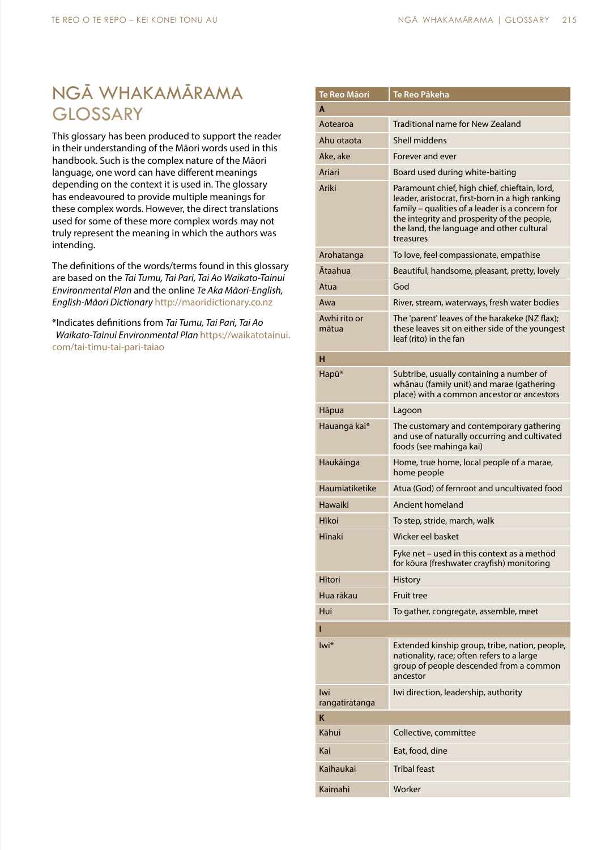## NGĀ WHAKAMĀRAMA **GLOSSARY**

This glossary has been produced to support the reader in their understanding of the Māori words used in this handbook. Such is the complex nature of the Māori language, one word can have different meanings depending on the context it is used in. The glossary has endeavoured to provide multiple meanings for these complex words. However, the direct translations used for some of these more complex words may not truly represent the meaning in which the authors was intending.

The definitions of the words/terms found in this glossary are based on the *Tai Tumu, Tai Pari, Tai Ao Waikato-Tainui Environmental Plan* and the online *Te Aka Māori-English, English-Māori Dictionary* http://maoridictionary.co.nz

\*Indicates definitions from *Tai Tumu, Tai Pari, Tai Ao Waikato-Tainui Environmental Plan* https://waikatotainui. com/tai-timu-tai-pari-taiao

| Te Reo Māori          | Te Reo Pākeha                                                                                                                                                                                                                                                 |  |  |
|-----------------------|---------------------------------------------------------------------------------------------------------------------------------------------------------------------------------------------------------------------------------------------------------------|--|--|
| A                     |                                                                                                                                                                                                                                                               |  |  |
| Aotearoa              | Traditional name for New Zealand                                                                                                                                                                                                                              |  |  |
| Ahu otaota            | Shell middens                                                                                                                                                                                                                                                 |  |  |
| Ake, ake              | Forever and ever                                                                                                                                                                                                                                              |  |  |
| Ariari                | Board used during white-baiting                                                                                                                                                                                                                               |  |  |
| Ariki                 | Paramount chief, high chief, chieftain, lord,<br>leader, aristocrat, first-born in a high ranking<br>family - qualities of a leader is a concern for<br>the integrity and prosperity of the people,<br>the land, the language and other cultural<br>treasures |  |  |
| Arohatanga            | To love, feel compassionate, empathise                                                                                                                                                                                                                        |  |  |
| Ātaahua               | Beautiful, handsome, pleasant, pretty, lovely                                                                                                                                                                                                                 |  |  |
| Atua                  | God                                                                                                                                                                                                                                                           |  |  |
| Awa                   | River, stream, waterways, fresh water bodies                                                                                                                                                                                                                  |  |  |
| Awhi rito or<br>mātua | The 'parent' leaves of the harakeke (NZ flax);<br>these leaves sit on either side of the youngest<br>leaf (rito) in the fan                                                                                                                                   |  |  |
| н                     |                                                                                                                                                                                                                                                               |  |  |
| Hapū*                 | Subtribe, usually containing a number of<br>whānau (family unit) and marae (gathering<br>place) with a common ancestor or ancestors                                                                                                                           |  |  |
| Hāpua                 | Lagoon                                                                                                                                                                                                                                                        |  |  |
| Hauanga kai*          | The customary and contemporary gathering<br>and use of naturally occurring and cultivated<br>foods (see mahinga kai)                                                                                                                                          |  |  |
| Haukāinga             | Home, true home, local people of a marae,<br>home people                                                                                                                                                                                                      |  |  |
| Haumiatiketike        | Atua (God) of fernroot and uncultivated food                                                                                                                                                                                                                  |  |  |
| Hawaiki               | Ancient homeland                                                                                                                                                                                                                                              |  |  |
| Hīkoi                 | To step, stride, march, walk                                                                                                                                                                                                                                  |  |  |
| Hīnaki                | Wicker eel basket                                                                                                                                                                                                                                             |  |  |
|                       | Fyke net - used in this context as a method<br>for kōura (freshwater crayfish) monitoring                                                                                                                                                                     |  |  |
| Hitori                | <b>History</b>                                                                                                                                                                                                                                                |  |  |
| Hua rākau             | <b>Fruit tree</b>                                                                                                                                                                                                                                             |  |  |
| Hui                   | To gather, congregate, assemble, meet                                                                                                                                                                                                                         |  |  |
|                       |                                                                                                                                                                                                                                                               |  |  |
| lwi*                  | Extended kinship group, tribe, nation, people,<br>nationality, race; often refers to a large<br>group of people descended from a common<br>ancestor                                                                                                           |  |  |
| Iwi<br>rangatiratanga | Iwi direction, leadership, authority                                                                                                                                                                                                                          |  |  |
| Κ                     |                                                                                                                                                                                                                                                               |  |  |
| Kāhui                 | Collective, committee                                                                                                                                                                                                                                         |  |  |
| Kai                   | Eat, food, dine                                                                                                                                                                                                                                               |  |  |
| Kaihaukai             | <b>Tribal feast</b>                                                                                                                                                                                                                                           |  |  |
| Kaimahi               | Worker                                                                                                                                                                                                                                                        |  |  |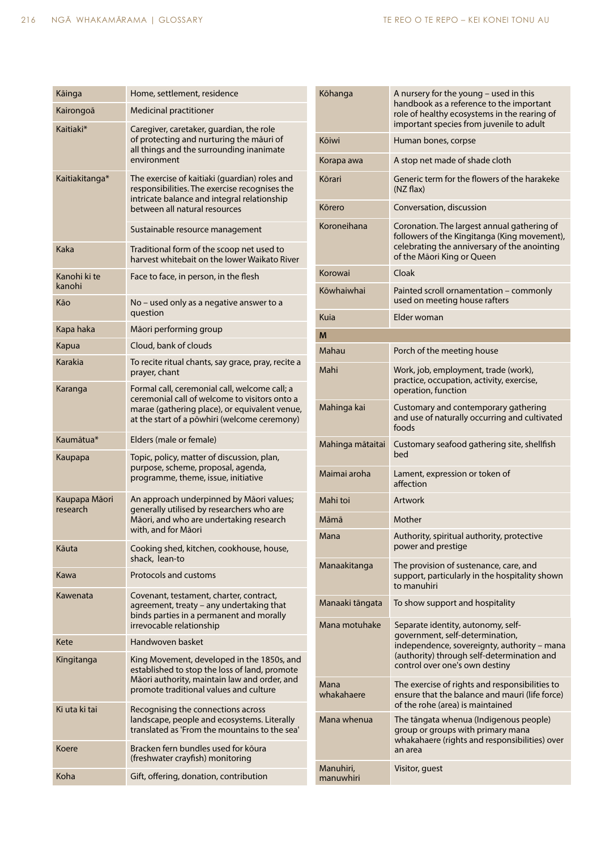| Kāinga                    | Home, settlement, residence                                                                                                                                                                     |  |
|---------------------------|-------------------------------------------------------------------------------------------------------------------------------------------------------------------------------------------------|--|
| Kairongoā                 | <b>Medicinal practitioner</b>                                                                                                                                                                   |  |
| Kaitiaki*                 | Caregiver, caretaker, guardian, the role<br>of protecting and nurturing the mauri of<br>all things and the surrounding inanimate<br>environment                                                 |  |
| Kaitiakitanga*            | The exercise of kaitiaki (guardian) roles and<br>responsibilities. The exercise recognises the<br>intricate balance and integral relationship<br>between all natural resources                  |  |
|                           | Sustainable resource management                                                                                                                                                                 |  |
| Kaka                      | Traditional form of the scoop net used to<br>harvest whitebait on the lower Waikato River                                                                                                       |  |
| Kanohi ki te<br>kanohi    | Face to face, in person, in the flesh                                                                                                                                                           |  |
| Kāo                       | No - used only as a negative answer to a<br>question                                                                                                                                            |  |
| Kapa haka                 | Māori performing group                                                                                                                                                                          |  |
| Kapua                     | Cloud, bank of clouds                                                                                                                                                                           |  |
| Karakia                   | To recite ritual chants, say grace, pray, recite a<br>prayer, chant                                                                                                                             |  |
| Karanga                   | Formal call, ceremonial call, welcome call; a<br>ceremonial call of welcome to visitors onto a<br>marae (gathering place), or equivalent venue,<br>at the start of a powhiri (welcome ceremony) |  |
|                           |                                                                                                                                                                                                 |  |
| Kaumātua*                 | Elders (male or female)                                                                                                                                                                         |  |
| Kaupapa                   | Topic, policy, matter of discussion, plan,<br>purpose, scheme, proposal, agenda,<br>programme, theme, issue, initiative                                                                         |  |
| Kaupapa Māori<br>research | An approach underpinned by Māori values;<br>generally utilised by researchers who are<br>Māori, and who are undertaking research<br>with, and for Māori                                         |  |
| Kāuta                     | Cooking shed, kitchen, cookhouse, house,<br>shack, lean-to                                                                                                                                      |  |
| Kawa                      | Protocols and customs                                                                                                                                                                           |  |
| Kawenata                  | Covenant, testament, charter, contract,<br>agreement, treaty - any undertaking that<br>binds parties in a permanent and morally<br>irrevocable relationship                                     |  |
| Kete                      | Handwoven basket                                                                                                                                                                                |  |
| Kīngitanga                | King Movement, developed in the 1850s, and<br>established to stop the loss of land, promote<br>Māori authority, maintain law and order, and<br>promote traditional values and culture           |  |
| Ki uta ki tai             | Recognising the connections across<br>landscape, people and ecosystems. Literally<br>translated as 'From the mountains to the sea'                                                              |  |
| Koere                     | Bracken fern bundles used for kõura<br>(freshwater crayfish) monitoring                                                                                                                         |  |

| Kōhanga                | A nursery for the young - used in this<br>handbook as a reference to the important<br>role of healthy ecosystems in the rearing of<br>important species from juvenile to adult                       |  |
|------------------------|------------------------------------------------------------------------------------------------------------------------------------------------------------------------------------------------------|--|
| Kōiwi                  | Human bones, corpse                                                                                                                                                                                  |  |
| Korapa awa             | A stop net made of shade cloth                                                                                                                                                                       |  |
| Kōrari                 | Generic term for the flowers of the harakeke<br>$(NZ$ flax)                                                                                                                                          |  |
| Körero                 | Conversation, discussion                                                                                                                                                                             |  |
| Koroneihana            | Coronation. The largest annual gathering of<br>followers of the Kingitanga (King movement),<br>celebrating the anniversary of the anointing<br>of the Māori King or Queen                            |  |
| Korowai                | Cloak                                                                                                                                                                                                |  |
| Kōwhaiwhai             | Painted scroll ornamentation - commonly<br>used on meeting house rafters                                                                                                                             |  |
| <b>Kuia</b>            | Elder woman                                                                                                                                                                                          |  |
| M                      |                                                                                                                                                                                                      |  |
| Mahau                  | Porch of the meeting house                                                                                                                                                                           |  |
| Mahi                   | Work, job, employment, trade (work),<br>practice, occupation, activity, exercise,<br>operation, function                                                                                             |  |
| Mahinga kai            | Customary and contemporary gathering<br>and use of naturally occurring and cultivated<br>foods                                                                                                       |  |
| Mahinga mātaitai       | Customary seafood gathering site, shellfish<br>bed                                                                                                                                                   |  |
| Maimai aroha           | Lament, expression or token of<br>affection                                                                                                                                                          |  |
| Mahi toi               | Artwork                                                                                                                                                                                              |  |
| Māmā                   | Mother                                                                                                                                                                                               |  |
| Mana                   | Authority, spiritual authority, protective<br>power and prestige                                                                                                                                     |  |
| Manaakitanga           | The provision of sustenance, care, and<br>support, particularly in the hospitality shown<br>to manuhiri                                                                                              |  |
| Manaaki tāngata        | To show support and hospitality                                                                                                                                                                      |  |
| Mana motuhake          | Separate identity, autonomy, self-<br>government, self-determination,<br>independence, sovereignty, authority - mana<br>(authority) through self-determination and<br>control over one's own destiny |  |
| Mana<br>whakahaere     | The exercise of rights and responsibilities to<br>ensure that the balance and mauri (life force)<br>of the rohe (area) is maintained                                                                 |  |
| Mana whenua            | The tāngata whenua (Indigenous people)<br>group or groups with primary mana<br>whakahaere (rights and responsibilities) over<br>an area                                                              |  |
| Manuhiri,<br>manuwhiri | Visitor, guest                                                                                                                                                                                       |  |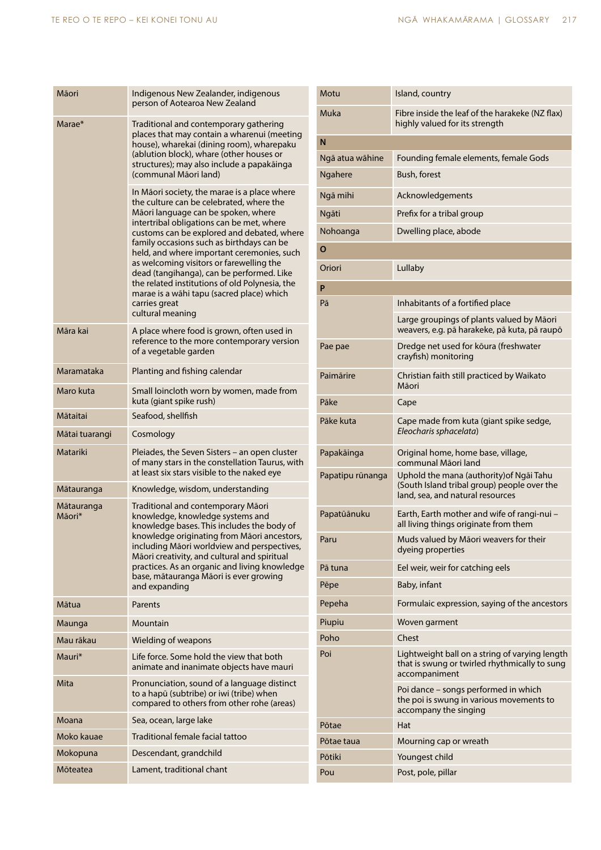| Māori                | Indigenous New Zealander, indigenous<br>person of Aotearoa New Zealand                                                                                                                                                                                                                                                                                                                                                                                                                                                                             |  |  |
|----------------------|----------------------------------------------------------------------------------------------------------------------------------------------------------------------------------------------------------------------------------------------------------------------------------------------------------------------------------------------------------------------------------------------------------------------------------------------------------------------------------------------------------------------------------------------------|--|--|
| Marae*               | Traditional and contemporary gathering<br>places that may contain a wharenui (meeting<br>house), wharekai (dining room), wharepaku<br>(ablution block), whare (other houses or<br>structures); may also include a papakāinga<br>(communal Māori land)                                                                                                                                                                                                                                                                                              |  |  |
|                      | In Māori society, the marae is a place where<br>the culture can be celebrated, where the<br>Māori language can be spoken, where<br>intertribal obligations can be met, where<br>customs can be explored and debated, where<br>family occasions such as birthdays can be<br>held, and where important ceremonies, such<br>as welcoming visitors or farewelling the<br>dead (tangihanga), can be performed. Like<br>the related institutions of old Polynesia, the<br>marae is a wāhi tapu (sacred place) which<br>carries great<br>cultural meaning |  |  |
| Māra kai             | A place where food is grown, often used in<br>reference to the more contemporary version<br>of a vegetable garden                                                                                                                                                                                                                                                                                                                                                                                                                                  |  |  |
| Maramataka           | Planting and fishing calendar                                                                                                                                                                                                                                                                                                                                                                                                                                                                                                                      |  |  |
| Maro kuta            | Small loincloth worn by women, made from<br>kuta (giant spike rush)                                                                                                                                                                                                                                                                                                                                                                                                                                                                                |  |  |
| Mātaitai             | Seafood, shellfish                                                                                                                                                                                                                                                                                                                                                                                                                                                                                                                                 |  |  |
| Mātai tuarangi       | Cosmology                                                                                                                                                                                                                                                                                                                                                                                                                                                                                                                                          |  |  |
| Matariki             | Pleiades, the Seven Sisters - an open cluster<br>of many stars in the constellation Taurus, with<br>at least six stars visible to the naked eye                                                                                                                                                                                                                                                                                                                                                                                                    |  |  |
| Mātauranga           | Knowledge, wisdom, understanding                                                                                                                                                                                                                                                                                                                                                                                                                                                                                                                   |  |  |
| Mātauranga<br>Māori* | Traditional and contemporary Māori<br>knowledge, knowledge systems and<br>knowledge bases. This includes the body of<br>knowledge originating from Māori ancestors,<br>including Māori worldview and perspectives,<br>Māori creativity, and cultural and spiritual<br>practices. As an organic and living knowledge<br>base, mātauranga Māori is ever growing<br>and expanding                                                                                                                                                                     |  |  |
| Mātua                | Parents                                                                                                                                                                                                                                                                                                                                                                                                                                                                                                                                            |  |  |
| Maunga               | Mountain                                                                                                                                                                                                                                                                                                                                                                                                                                                                                                                                           |  |  |
| Mau rākau            | Wielding of weapons                                                                                                                                                                                                                                                                                                                                                                                                                                                                                                                                |  |  |
| Mauri*               | Life force. Some hold the view that both<br>animate and inanimate objects have mauri                                                                                                                                                                                                                                                                                                                                                                                                                                                               |  |  |
| Mita                 | Pronunciation, sound of a language distinct<br>to a hapū (subtribe) or iwi (tribe) when<br>compared to others from other rohe (areas)                                                                                                                                                                                                                                                                                                                                                                                                              |  |  |
| Moana                | Sea, ocean, large lake                                                                                                                                                                                                                                                                                                                                                                                                                                                                                                                             |  |  |
| Moko kauae           | Traditional female facial tattoo                                                                                                                                                                                                                                                                                                                                                                                                                                                                                                                   |  |  |
| Mokopuna             | Descendant, grandchild                                                                                                                                                                                                                                                                                                                                                                                                                                                                                                                             |  |  |
| Mōteatea             | Lament, traditional chant                                                                                                                                                                                                                                                                                                                                                                                                                                                                                                                          |  |  |

| Motu             | Island, country                                                                                                             |  |
|------------------|-----------------------------------------------------------------------------------------------------------------------------|--|
| Muka             | Fibre inside the leaf of the harakeke (NZ flax)<br>highly valued for its strength                                           |  |
| N                |                                                                                                                             |  |
| Ngā atua wāhine  | Founding female elements, female Gods                                                                                       |  |
| Ngahere          | Bush, forest                                                                                                                |  |
| Ngā mihi         | Acknowledgements                                                                                                            |  |
| Ngāti            | Prefix for a tribal group                                                                                                   |  |
| Nohoanga         | Dwelling place, abode                                                                                                       |  |
| O                |                                                                                                                             |  |
| Oriori           | Lullaby                                                                                                                     |  |
| P                |                                                                                                                             |  |
| Pā               | Inhabitants of a fortified place                                                                                            |  |
|                  | Large groupings of plants valued by Māori<br>weavers, e.g. pā harakeke, pā kuta, pā raupō                                   |  |
| Pae pae          | Dredge net used for koura (freshwater<br>crayfish) monitoring                                                               |  |
| Paimārire        | Christian faith still practiced by Waikato<br>Māori                                                                         |  |
| Pāke             | Cape                                                                                                                        |  |
| Pāke kuta        | Cape made from kuta (giant spike sedge,<br>Eleocharis sphacelata)                                                           |  |
| Papakāinga       | Original home, home base, village,<br>communal Māori land                                                                   |  |
| Papatipu rūnanga | Uphold the mana (authority) of Ngai Tahu<br>(South Island tribal group) people over the<br>land, sea, and natural resources |  |
| Papatūānuku      | Earth, Earth mother and wife of rangi-nui -<br>all living things originate from them                                        |  |
| Paru             | Muds valued by Māori weavers for their<br>dyeing properties                                                                 |  |
| Pā tuna          | Eel weir, weir for catching eels                                                                                            |  |
| Pēpe             | Baby, infant                                                                                                                |  |
| Pepeha           | Formulaic expression, saying of the ancestors                                                                               |  |
| Piupiu           | Woven garment                                                                                                               |  |
| Poho             | Chest                                                                                                                       |  |
| Poi              | Lightweight ball on a string of varying length<br>that is swung or twirled rhythmically to sung<br>accompaniment            |  |
|                  | Poi dance - songs performed in which<br>the poi is swung in various movements to<br>accompany the singing                   |  |
| Pōtae            | Hat                                                                                                                         |  |
| Pōtae taua       | Mourning cap or wreath                                                                                                      |  |
| Pōtiki           | Youngest child                                                                                                              |  |
| Pou              | Post, pole, pillar                                                                                                          |  |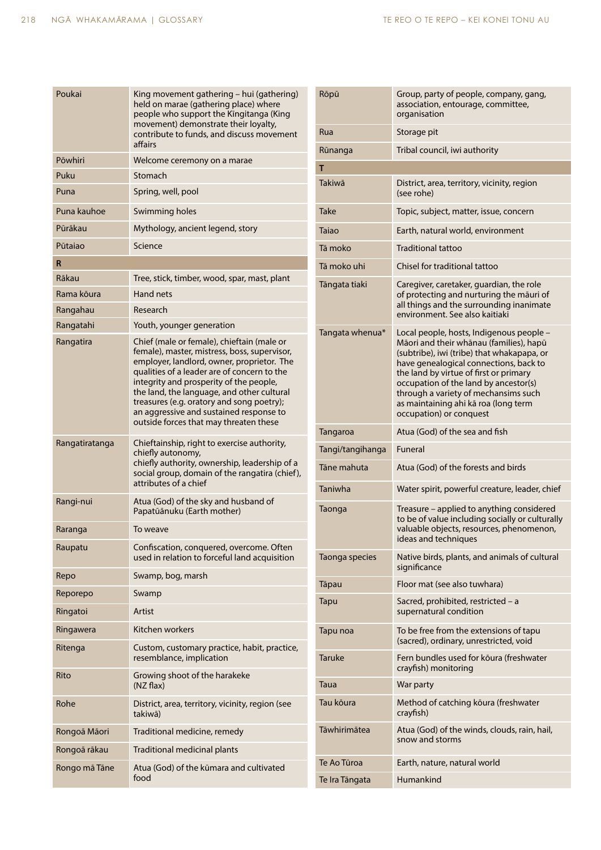| Poukai         | King movement gathering – hui (gathering)<br>held on marae (gathering place) where<br>people who support the Kingitanga (King<br>movement) demonstrate their loyalty,<br>contribute to funds, and discuss movement<br>affairs                                                                                                                                                                                      |  |
|----------------|--------------------------------------------------------------------------------------------------------------------------------------------------------------------------------------------------------------------------------------------------------------------------------------------------------------------------------------------------------------------------------------------------------------------|--|
| Pōwhiri        | Welcome ceremony on a marae                                                                                                                                                                                                                                                                                                                                                                                        |  |
| Puku           | Stomach                                                                                                                                                                                                                                                                                                                                                                                                            |  |
| Puna           | Spring, well, pool                                                                                                                                                                                                                                                                                                                                                                                                 |  |
| Puna kauhoe    | Swimming holes                                                                                                                                                                                                                                                                                                                                                                                                     |  |
| Pūrākau        | Mythology, ancient legend, story                                                                                                                                                                                                                                                                                                                                                                                   |  |
| Pūtajao        | Science                                                                                                                                                                                                                                                                                                                                                                                                            |  |
| R              |                                                                                                                                                                                                                                                                                                                                                                                                                    |  |
| Rākau          | Tree, stick, timber, wood, spar, mast, plant                                                                                                                                                                                                                                                                                                                                                                       |  |
| Rama kõura     | Hand nets                                                                                                                                                                                                                                                                                                                                                                                                          |  |
| Rangahau       | Research                                                                                                                                                                                                                                                                                                                                                                                                           |  |
| Rangatahi      | Youth, younger generation                                                                                                                                                                                                                                                                                                                                                                                          |  |
| Rangatira      | Chief (male or female), chieftain (male or<br>female), master, mistress, boss, supervisor,<br>employer, landlord, owner, proprietor. The<br>qualities of a leader are of concern to the<br>integrity and prosperity of the people,<br>the land, the language, and other cultural<br>treasures (e.g. oratory and song poetry);<br>an aggressive and sustained response to<br>outside forces that may threaten these |  |
| Rangatiratanga | Chieftainship, right to exercise authority,<br>chiefly autonomy,<br>chiefly authority, ownership, leadership of a<br>social group, domain of the rangatira (chief),<br>attributes of a chief                                                                                                                                                                                                                       |  |
| Rangi-nui      | Atua (God) of the sky and husband of<br>Papatūānuku (Earth mother)                                                                                                                                                                                                                                                                                                                                                 |  |
| Raranga        | To weave                                                                                                                                                                                                                                                                                                                                                                                                           |  |
| Raupatu        | Confiscation, conquered, overcome. Often<br>used in relation to forceful land acquisition                                                                                                                                                                                                                                                                                                                          |  |
| Repo           | Swamp, bog, marsh                                                                                                                                                                                                                                                                                                                                                                                                  |  |
| Reporepo       | Swamp                                                                                                                                                                                                                                                                                                                                                                                                              |  |
| Ringatoi       | Artist                                                                                                                                                                                                                                                                                                                                                                                                             |  |
| Ringawera      | Kitchen workers                                                                                                                                                                                                                                                                                                                                                                                                    |  |
| Ritenga        | Custom, customary practice, habit, practice,<br>resemblance, implication                                                                                                                                                                                                                                                                                                                                           |  |
| Rito           | Growing shoot of the harakeke<br>(NZ flax)                                                                                                                                                                                                                                                                                                                                                                         |  |
| Rohe           | District, area, territory, vicinity, region (see<br>takiwā)                                                                                                                                                                                                                                                                                                                                                        |  |
| Rongoā Māori   | Traditional medicine, remedy                                                                                                                                                                                                                                                                                                                                                                                       |  |
| Rongoā rākau   | Traditional medicinal plants                                                                                                                                                                                                                                                                                                                                                                                       |  |
| Rongo mā Tāne  | Atua (God) of the kūmara and cultivated<br>food                                                                                                                                                                                                                                                                                                                                                                    |  |

| Rōpū             | Group, party of people, company, gang,<br>association, entourage, committee,<br>organisation                                                                                                                                                                                                                                                                              |  |
|------------------|---------------------------------------------------------------------------------------------------------------------------------------------------------------------------------------------------------------------------------------------------------------------------------------------------------------------------------------------------------------------------|--|
| Rua              | Storage pit                                                                                                                                                                                                                                                                                                                                                               |  |
| Rūnanga          | Tribal council, iwi authority                                                                                                                                                                                                                                                                                                                                             |  |
| т                |                                                                                                                                                                                                                                                                                                                                                                           |  |
| Takiwā           | District, area, territory, vicinity, region<br>(see rohe)                                                                                                                                                                                                                                                                                                                 |  |
| Take             | Topic, subject, matter, issue, concern                                                                                                                                                                                                                                                                                                                                    |  |
| <b>Taiao</b>     | Earth, natural world, environment                                                                                                                                                                                                                                                                                                                                         |  |
| Tā moko          | <b>Traditional tattoo</b>                                                                                                                                                                                                                                                                                                                                                 |  |
| Tā moko uhi      | Chisel for traditional tattoo                                                                                                                                                                                                                                                                                                                                             |  |
| Tāngata tiaki    | Caregiver, caretaker, guardian, the role<br>of protecting and nurturing the mauri of<br>all things and the surrounding inanimate<br>environment. See also kaitiaki                                                                                                                                                                                                        |  |
| Tangata whenua*  | Local people, hosts, Indigenous people -<br>Māori and their whānau (families), hapū<br>(subtribe), iwi (tribe) that whakapapa, or<br>have genealogical connections, back to<br>the land by virtue of first or primary<br>occupation of the land by ancestor(s)<br>through a variety of mechansims such<br>as maintaining ahi kā roa (long term<br>occupation) or conquest |  |
| Tangaroa         | Atua (God) of the sea and fish                                                                                                                                                                                                                                                                                                                                            |  |
| Tangi/tangihanga | Funeral                                                                                                                                                                                                                                                                                                                                                                   |  |
| Tāne mahuta      | Atua (God) of the forests and birds                                                                                                                                                                                                                                                                                                                                       |  |
| Taniwha          | Water spirit, powerful creature, leader, chief                                                                                                                                                                                                                                                                                                                            |  |
| Taonga           | Treasure – applied to anything considered<br>to be of value including socially or culturally<br>valuable objects, resources, phenomenon,<br>ideas and techniques                                                                                                                                                                                                          |  |
| Taonga species   | Native birds, plants, and animals of cultural<br>significance                                                                                                                                                                                                                                                                                                             |  |
| Tāpau            | Floor mat (see also tuwhara)                                                                                                                                                                                                                                                                                                                                              |  |
| Tapu             | Sacred, prohibited, restricted - a<br>supernatural condition                                                                                                                                                                                                                                                                                                              |  |
| Tapu noa         | To be free from the extensions of tapu<br>(sacred), ordinary, unrestricted, void                                                                                                                                                                                                                                                                                          |  |
| <b>Taruke</b>    | Fern bundles used for koura (freshwater<br>crayfish) monitoring                                                                                                                                                                                                                                                                                                           |  |
| Taua             | War party                                                                                                                                                                                                                                                                                                                                                                 |  |
| Tau kōura        | Method of catching koura (freshwater<br>crayfish)                                                                                                                                                                                                                                                                                                                         |  |
| Tāwhirimātea     | Atua (God) of the winds, clouds, rain, hail,<br>snow and storms                                                                                                                                                                                                                                                                                                           |  |
| Te Ao Tūroa      | Earth, nature, natural world                                                                                                                                                                                                                                                                                                                                              |  |
| Te Ira Tāngata   | Humankind                                                                                                                                                                                                                                                                                                                                                                 |  |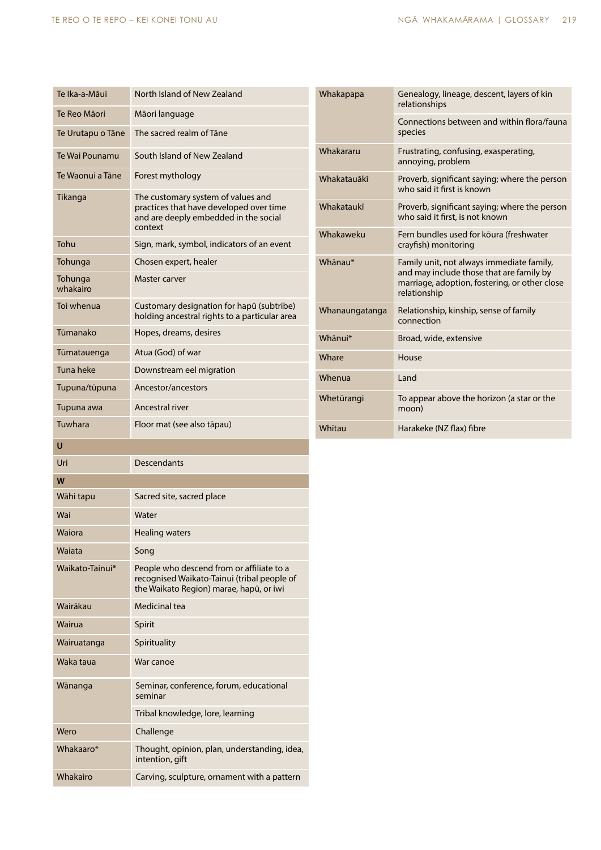Whakairo **Carving, sculpture, ornament with a pattern** 

| Te Ika-a-Māui       | North Island of New Zealand                                                                                                         | Whakapapa      | Genealogy, lineage, descent, layers of kin<br>relationships                                               |
|---------------------|-------------------------------------------------------------------------------------------------------------------------------------|----------------|-----------------------------------------------------------------------------------------------------------|
| Te Reo Māori        | Māori language                                                                                                                      |                | Connections between and within flora/fauna                                                                |
| Te Urutapu o Tāne   | The sacred realm of Tane                                                                                                            |                | species                                                                                                   |
| Te Wai Pounamu      | South Island of New Zealand                                                                                                         | Whakararu      | Frustrating, confusing, exasperating,<br>annoying, problem                                                |
| Te Waonui a Tāne    | Forest mythology                                                                                                                    | Whakatauākī    | Proverb, significant saying; where the person<br>who said it first is known                               |
| Tikanga             | The customary system of values and<br>practices that have developed over time<br>and are deeply embedded in the social<br>context   | Whakataukī     | Proverb, significant saying; where the person<br>who said it first, is not known                          |
| Tohu                | Sign, mark, symbol, indicators of an event                                                                                          | Whakaweku      | Fern bundles used for koura (freshwater<br>crayfish) monitoring                                           |
| Tohunga             | Chosen expert, healer                                                                                                               | Whānau*        | Family unit, not always immediate family,                                                                 |
| Tohunga<br>whakairo | Master carver                                                                                                                       |                | and may include those that are family by<br>marriage, adoption, fostering, or other close<br>relationship |
| Toi whenua          | Customary designation for hapū (subtribe)<br>holding ancestral rights to a particular area                                          | Whanaungatanga | Relationship, kinship, sense of family<br>connection                                                      |
| Tūmanako            | Hopes, dreams, desires                                                                                                              | Whānui*        | Broad, wide, extensive                                                                                    |
| Tūmatauenga         | Atua (God) of war                                                                                                                   | Whare          | House                                                                                                     |
| Tuna heke           | Downstream eel migration                                                                                                            | Whenua         | Land                                                                                                      |
| Tupuna/tūpuna       | Ancestor/ancestors                                                                                                                  | Whetūrangi     | To appear above the horizon (a star or the                                                                |
| Tupuna awa          | Ancestral river                                                                                                                     |                | moon)                                                                                                     |
| Tuwhara             | Floor mat (see also tāpau)                                                                                                          | Whitau         | Harakeke (NZ flax) fibre                                                                                  |
| $\cup$              |                                                                                                                                     |                |                                                                                                           |
| Uri                 | <b>Descendants</b>                                                                                                                  |                |                                                                                                           |
| W                   |                                                                                                                                     |                |                                                                                                           |
| Wāhi tapu           | Sacred site, sacred place                                                                                                           |                |                                                                                                           |
| Wai                 | Water                                                                                                                               |                |                                                                                                           |
| Waiora              | Healing waters                                                                                                                      |                |                                                                                                           |
| Waiata              | Song                                                                                                                                |                |                                                                                                           |
| Waikato-Tainui*     | People who descend from or affiliate to a<br>recognised Waikato-Tainui (tribal people of<br>the Waikato Region) marae, hapū, or iwi |                |                                                                                                           |
| Wairākau            | Medicinal tea                                                                                                                       |                |                                                                                                           |
| Wairua              | Spirit                                                                                                                              |                |                                                                                                           |
| Wairuatanga         | Spirituality                                                                                                                        |                |                                                                                                           |
| Waka taua           | War canoe                                                                                                                           |                |                                                                                                           |
| Wānanga             | Seminar, conference, forum, educational<br>seminar                                                                                  |                |                                                                                                           |
|                     | Tribal knowledge, lore, learning                                                                                                    |                |                                                                                                           |
| Wero                | Challenge                                                                                                                           |                |                                                                                                           |
| Whakaaro*           | Thought, opinion, plan, understanding, idea,<br>intention, gift                                                                     |                |                                                                                                           |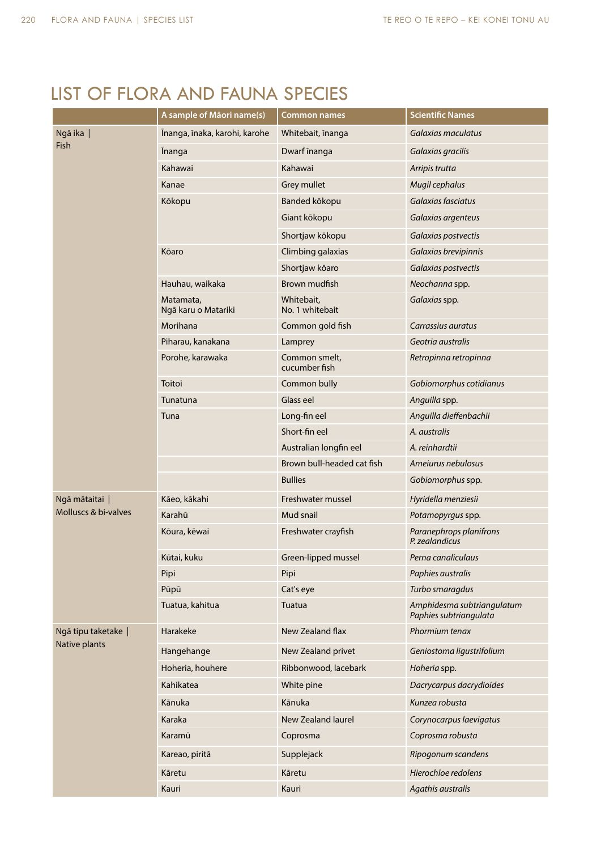## LIST OF FLORA AND FAUNA SPECIES

|                      | A sample of Māori name(s)        | <b>Common names</b>            | <b>Scientific Names</b>                              |
|----------------------|----------------------------------|--------------------------------|------------------------------------------------------|
| Ngā ika              | Īnanga, īnaka, karohi, karohe    | Whitebait, inanga              | Galaxias maculatus                                   |
| Fish                 | <b>Inanga</b>                    | Dwarf inanga                   | Galaxias gracilis                                    |
|                      | Kahawai                          | Kahawai                        | Arripis trutta                                       |
|                      | Kanae                            | Grey mullet                    | Mugil cephalus                                       |
|                      | Kōkopu                           | Banded kōkopu                  | Galaxias fasciatus                                   |
|                      |                                  | Giant kōkopu                   | Galaxias argenteus                                   |
|                      |                                  | Shortjaw kōkopu                | Galaxias postvectis                                  |
|                      | Kōaro                            | Climbing galaxias              | Galaxias brevipinnis                                 |
|                      |                                  | Shortjaw kōaro                 | Galaxias postvectis                                  |
|                      | Hauhau, waikaka                  | Brown mudfish                  | Neochanna spp.                                       |
|                      | Matamata,<br>Ngā karu o Matariki | Whitebait,<br>No. 1 whitebait  | Galaxias spp.                                        |
|                      | Morihana                         | Common gold fish               | Carrassius auratus                                   |
|                      | Piharau, kanakana                | Lamprey                        | Geotria australis                                    |
|                      | Porohe, karawaka                 | Common smelt,<br>cucumber fish | Retropinna retropinna                                |
|                      | Toitoi                           | Common bully                   | Gobiomorphus cotidianus                              |
|                      | Tunatuna                         | Glass eel                      | Anguilla spp.                                        |
|                      | Tuna                             | Long-fin eel                   | Anguilla dieffenbachii                               |
|                      |                                  | Short-fin eel                  | A. australis                                         |
|                      |                                  | Australian longfin eel         | A. reinhardtii                                       |
|                      |                                  | Brown bull-headed cat fish     | Amejurus nebulosus                                   |
|                      |                                  | <b>Bullies</b>                 | Gobiomorphus spp.                                    |
| Ngā mātaitai         | Kāeo, kākahi                     | Freshwater mussel              | Hyridella menziesii                                  |
| Molluscs & bi-valves | Karahū                           | Mud snail                      | Potamopyrgus spp.                                    |
|                      | Kōura, kēwai                     | Freshwater crayfish            | Paranephrops planifrons<br>P. zealandicus            |
|                      | Kūtai, kuku                      | Green-lipped mussel            | Perna canaliculaus                                   |
|                      | Pipi                             | Pipi                           | Paphies australis                                    |
|                      | Pūpū                             | Cat's eye                      | Turbo smaragdus                                      |
|                      | Tuatua, kahitua                  | Tuatua                         | Amphidesma subtriangulatum<br>Paphies subtriangulata |
| Ngā tipu taketake    | Harakeke                         | New Zealand flax               | Phormium tenax                                       |
| Native plants        | Hangehange                       | New Zealand privet             | Geniostoma ligustrifolium                            |
|                      | Hoheria, houhere                 | Ribbonwood, lacebark           | Hoheria spp.                                         |
|                      | Kahikatea                        | White pine                     | Dacrycarpus dacrydioides                             |
|                      | Kānuka                           | Kānuka                         | Kunzea robusta                                       |
|                      | Karaka                           | New Zealand laurel             | Corynocarpus laevigatus                              |
|                      | Karamū                           | Coprosma                       | Coprosma robusta                                     |
|                      | Kareao, piritā                   | Supplejack                     | Ripogonum scandens                                   |
|                      | Kāretu                           | Kāretu                         | Hierochloe redolens                                  |
|                      | Kauri                            | Kauri                          | Agathis australis                                    |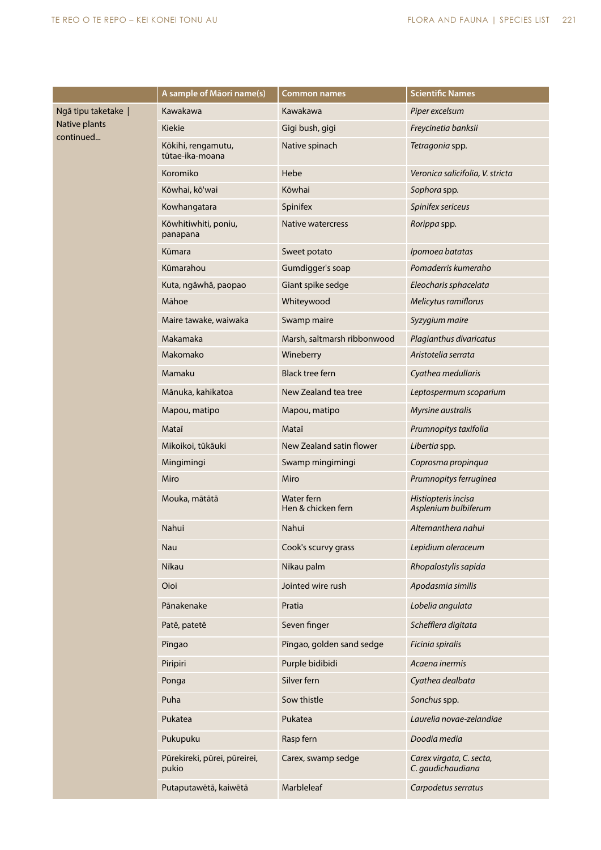|                            | A sample of Māori name(s)             | <b>Common names</b>              | <b>Scientific Names</b>                       |
|----------------------------|---------------------------------------|----------------------------------|-----------------------------------------------|
| Ngā tipu taketake          | Kawakawa                              | Kawakawa                         | Piper excelsum                                |
| Native plants<br>continued | Kiekie                                | Gigi bush, gigi                  | Freycinetia banksii                           |
|                            | Kōkihi, rengamutu,<br>tūtae-ika-moana | Native spinach                   | Tetragonia spp.                               |
|                            | Koromiko                              | Hebe                             | Veronica salicifolia, V. stricta              |
|                            | Kōwhai, kō'wai                        | Kōwhai                           | Sophora spp.                                  |
|                            | Kowhangatara                          | Spinifex                         | Spinifex sericeus                             |
|                            | Kōwhitiwhiti, poniu,<br>panapana      | Native watercress                | Rorippa spp.                                  |
|                            | Kūmara                                | Sweet potato                     | Ipomoea batatas                               |
|                            | Kūmarahou                             | Gumdigger's soap                 | Pomaderris kumeraho                           |
|                            | Kuta, ngāwhā, paopao                  | Giant spike sedge                | Eleocharis sphacelata                         |
|                            | Māhoe                                 | Whiteywood                       | Melicytus ramiflorus                          |
|                            | Maire tawake, waiwaka                 | Swamp maire                      | Syzygium maire                                |
|                            | Makamaka                              | Marsh, saltmarsh ribbonwood      | Plagianthus divaricatus                       |
|                            | Makomako                              | Wineberry                        | Aristotelia serrata                           |
|                            | Mamaku                                | <b>Black tree fern</b>           | Cyathea medullaris                            |
|                            | Mānuka, kahikatoa                     | New Zealand tea tree             | Leptospermum scoparium                        |
|                            | Mapou, matipo                         | Mapou, matipo                    | Myrsine australis                             |
|                            | Mataī                                 | Mataī                            | Prumnopitys taxifolia                         |
|                            | Mikoikoi, tūkāuki                     | New Zealand satin flower         | Libertia spp.                                 |
|                            | Mingimingi                            | Swamp mingimingi                 | Coprosma propinqua                            |
|                            | Miro                                  | Miro                             | Prumnopitys ferruginea                        |
|                            | Mouka, mātātā                         | Water fern<br>Hen & chicken fern | Histiopteris incisa<br>Asplenium bulbiferum   |
|                            | Nahui                                 | Nahui                            | Alternanthera nahui                           |
|                            | Nau                                   | Cook's scurvy grass              | Lepidium oleraceum                            |
|                            | Nīkau                                 | Nīkau palm                       | Rhopalostylis sapida                          |
|                            | Oioi                                  | Jointed wire rush                | Apodasmia similis                             |
|                            | Pānakenake                            | Pratia                           | Lobelia angulata                              |
|                            | Patē, patetē                          | Seven finger                     | Schefflera digitata                           |
|                            | Pīngao                                | Pīngao, golden sand sedge        | Ficinia spiralis                              |
|                            | Piripiri                              | Purple bidibidi                  | Acaena inermis                                |
|                            | Ponga                                 | Silver fern                      | Cyathea dealbata                              |
|                            | Puha                                  | Sow thistle                      | Sonchus spp.                                  |
|                            | Pukatea                               | Pukatea                          | Laurelia novae-zelandiae                      |
|                            | Pukupuku                              | Rasp fern                        | Doodia media                                  |
|                            | Pūrekireki, pūrei, pūreirei,<br>pukio | Carex, swamp sedge               | Carex virgata, C. secta,<br>C. gaudichaudiana |
|                            | Putaputawētā, kaiwētā                 | Marbleleaf                       | Carpodetus serratus                           |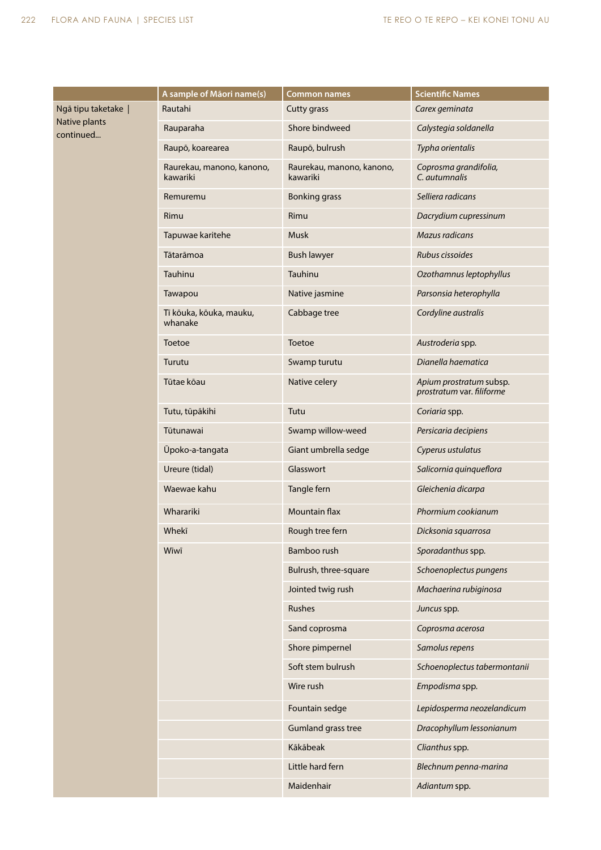|                            | A sample of Māori name(s)             | <b>Common names</b>                   | <b>Scientific Names</b>                              |
|----------------------------|---------------------------------------|---------------------------------------|------------------------------------------------------|
| Ngā tipu taketake          | Rautahi                               | Cutty grass                           | Carex geminata                                       |
| Native plants<br>continued | Rauparaha                             | Shore bindweed                        | Calystegia soldanella                                |
|                            | Raupō, koarearea                      | Raupō, bulrush                        | Typha orientalis                                     |
|                            | Raurekau, manono, kanono,<br>kawariki | Raurekau, manono, kanono,<br>kawariki | Coprosma grandifolia,<br>C. autumnalis               |
|                            | Remuremu                              | <b>Bonking grass</b>                  | Selliera radicans                                    |
|                            | Rimu                                  | Rimu                                  | Dacrydium cupressinum                                |
|                            | Tapuwae karitehe                      | Musk                                  | <b>Mazus radicans</b>                                |
|                            | Tātarāmoa                             | <b>Bush lawyer</b>                    | Rubus cissoides                                      |
|                            | Tauhinu                               | Tauhinu                               | Ozothamnus leptophyllus                              |
|                            | Tawapou                               | Native jasmine                        | Parsonsia heterophylla                               |
|                            | Tī kōuka, kōuka, mauku,<br>whanake    | Cabbage tree                          | Cordyline australis                                  |
|                            | Toetoe                                | Toetoe                                | Austroderia spp.                                     |
|                            | Turutu                                | Swamp turutu                          | Dianella haematica                                   |
|                            | Tūtae kōau                            | Native celery                         | Apium prostratum subsp.<br>prostratum var. filiforme |
|                            | Tutu, tūpākihi                        | Tutu                                  | Coriaria spp.                                        |
|                            | Tūtunawai                             | Swamp willow-weed                     | Persicaria decipiens                                 |
|                            | Ūpoko-a-tangata                       | Giant umbrella sedge                  | Cyperus ustulatus                                    |
|                            | Ureure (tidal)                        | Glasswort                             | Salicornia quinqueflora                              |
|                            | Waewae kahu                           | Tangle fern                           | Gleichenia dicarpa                                   |
|                            | Wharariki                             | <b>Mountain flax</b>                  | Phormium cookianum                                   |
|                            | Whekī                                 | Rough tree fern                       | Dicksonia squarrosa                                  |
|                            | Wīwī                                  | Bamboo rush                           | Sporadanthus spp.                                    |
|                            |                                       | Bulrush, three-square                 | Schoenoplectus pungens                               |
|                            |                                       | Jointed twig rush                     | Machaerina rubiginosa                                |
|                            |                                       | Rushes                                | Juncus spp.                                          |
|                            |                                       | Sand coprosma                         | Coprosma acerosa                                     |
|                            |                                       | Shore pimpernel                       | Samolus repens                                       |
|                            |                                       | Soft stem bulrush                     | Schoenoplectus tabermontanii                         |
|                            |                                       | Wire rush                             | Empodisma spp.                                       |
|                            |                                       | Fountain sedge                        | Lepidosperma neozelandicum                           |
|                            |                                       | <b>Gumland grass tree</b>             | Dracophyllum lessonianum                             |
|                            |                                       | Kākābeak                              | Clianthus spp.                                       |
|                            |                                       | Little hard fern                      | Blechnum penna-marina                                |
|                            |                                       | Maidenhair                            | Adiantum spp.                                        |
|                            |                                       |                                       |                                                      |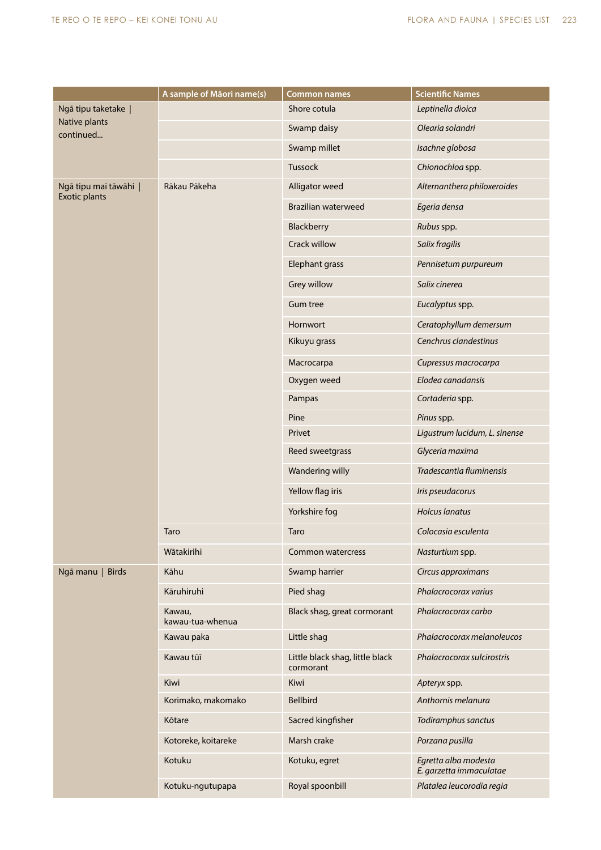|                            | A sample of Māori name(s)  | <b>Common names</b>                          | <b>Scientific Names</b>                         |
|----------------------------|----------------------------|----------------------------------------------|-------------------------------------------------|
| Ngā tipu taketake          |                            | Shore cotula                                 | Leptinella dioica                               |
| Native plants<br>continued |                            | Swamp daisy                                  | Olearia solandri                                |
|                            |                            | Swamp millet                                 | Isachne globosa                                 |
|                            |                            | Tussock                                      | Chionochloa spp.                                |
| Ngā tipu mai tāwāhi        | Rākau Pākeha               | Alligator weed                               | Alternanthera philoxeroides                     |
| <b>Exotic plants</b>       |                            | <b>Brazilian waterweed</b>                   | Egeria densa                                    |
|                            |                            | Blackberry                                   | Rubus spp.                                      |
|                            |                            | <b>Crack willow</b>                          | Salix fragilis                                  |
|                            |                            | Elephant grass                               | Pennisetum purpureum                            |
|                            |                            | Grey willow                                  | Salix cinerea                                   |
|                            |                            | <b>Gum tree</b>                              | Eucalyptus spp.                                 |
|                            |                            | Hornwort                                     | Ceratophyllum demersum                          |
|                            |                            | Kikuyu grass                                 | Cenchrus clandestinus                           |
|                            |                            | Macrocarpa                                   | Cupressus macrocarpa                            |
|                            |                            | Oxygen weed                                  | Elodea canadansis                               |
|                            |                            | Pampas                                       | Cortaderia spp.                                 |
|                            |                            | Pine                                         | Pinus spp.                                      |
|                            |                            | Privet                                       | Ligustrum lucidum, L. sinense                   |
|                            |                            | Reed sweetgrass                              | Glyceria maxima                                 |
|                            |                            | Wandering willy                              | Tradescantia fluminensis                        |
|                            |                            | Yellow flag iris                             | Iris pseudacorus                                |
|                            |                            | Yorkshire fog                                | <b>Holcus lanatus</b>                           |
|                            | Taro                       | Taro                                         | Colocasia esculenta                             |
|                            | Wātakirihi                 | <b>Common watercress</b>                     | Nasturtium spp.                                 |
| Ngā manu   Birds           | Kāhu                       | Swamp harrier                                | Circus approximans                              |
|                            | Kāruhiruhi                 | Pied shag                                    | Phalacrocorax varius                            |
|                            | Kawau,<br>kawau-tua-whenua | Black shag, great cormorant                  | Phalacrocorax carbo                             |
|                            | Kawau paka                 | Little shag                                  | Phalacrocorax melanoleucos                      |
|                            | Kawau tūī                  | Little black shag, little black<br>cormorant | Phalacrocorax sulcirostris                      |
|                            | Kiwi                       | Kiwi                                         | Apteryx spp.                                    |
|                            | Korimako, makomako         | <b>Bellbird</b>                              | Anthornis melanura                              |
|                            | Kōtare                     | Sacred kingfisher                            | Todiramphus sanctus                             |
|                            | Kotoreke, koitareke        | Marsh crake                                  | Porzana pusilla                                 |
|                            | Kotuku                     | Kotuku, egret                                | Egretta alba modesta<br>E. garzetta immaculatae |
|                            | Kotuku-ngutupapa           | Royal spoonbill                              | Platalea leucorodia regia                       |
|                            |                            |                                              |                                                 |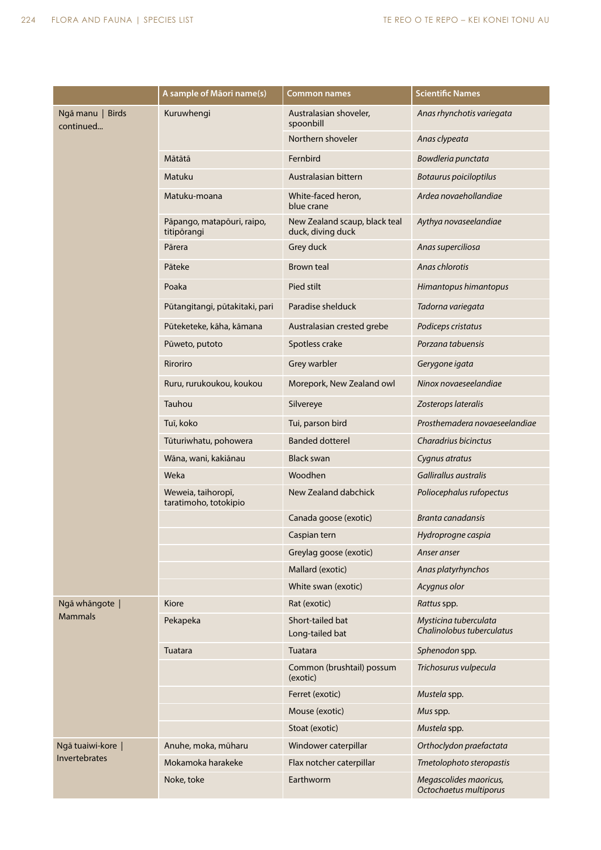|                                    | A sample of Māori name(s)                   | <b>Common names</b>                                | <b>Scientific Names</b>                            |
|------------------------------------|---------------------------------------------|----------------------------------------------------|----------------------------------------------------|
| Ngā manu   Birds<br>continued      | Kuruwhengi                                  | Australasian shoveler,<br>spoonbill                | Anas rhynchotis variegata                          |
|                                    |                                             | Northern shoveler                                  | Anas clypeata                                      |
|                                    | Mātātā                                      | Fernbird                                           | Bowdleria punctata                                 |
|                                    | Matuku                                      | Australasian bittern                               | <b>Botaurus poiciloptilus</b>                      |
|                                    | Matuku-moana                                | White-faced heron,<br>blue crane                   | Ardea novaehollandiae                              |
|                                    | Pāpango, matapōuri, raipo,<br>titipõrangi   | New Zealand scaup, black teal<br>duck, diving duck | Aythya novaseelandiae                              |
|                                    | Pārera                                      | Grey duck                                          | Anas superciliosa                                  |
|                                    | Pāteke                                      | <b>Brown teal</b>                                  | Anas chlorotis                                     |
|                                    | Poaka                                       | Pied stilt                                         | Himantopus himantopus                              |
|                                    | Pūtangitangi, pūtakitaki, pari              | Paradise shelduck                                  | Tadorna variegata                                  |
|                                    | Pūteketeke, kāha, kāmana                    | Australasian crested grebe                         | Podiceps cristatus                                 |
|                                    | Pūweto, putoto                              | Spotless crake                                     | Porzana tabuensis                                  |
|                                    | Riroriro                                    | Grey warbler                                       | Gerygone igata                                     |
|                                    | Ruru, rurukoukou, koukou                    | Morepork, New Zealand owl                          | Ninox novaeseelandiae                              |
|                                    | Tauhou                                      | Silvereye                                          | Zosterops lateralis                                |
|                                    | Tuī, koko                                   | Tui, parson bird                                   | Prosthemadera novaeseelandiae                      |
|                                    | Tūturiwhatu, pohowera                       | <b>Banded dotterel</b>                             | Charadrius bicinctus                               |
|                                    | Wāna, wani, kakiānau                        | <b>Black swan</b>                                  | Cygnus atratus                                     |
|                                    | Weka                                        | Woodhen                                            | Gallirallus australis                              |
|                                    | Weweia, taihoropī,<br>taratimoho, totokipio | New Zealand dabchick                               | Poliocephalus rufopectus                           |
|                                    |                                             | Canada goose (exotic)                              | Branta canadansis                                  |
|                                    |                                             | Caspian tern                                       | Hydroprogne caspia                                 |
|                                    |                                             | Greylag goose (exotic)                             | Anser anser                                        |
|                                    |                                             | Mallard (exotic)                                   | Anas platyrhynchos                                 |
|                                    |                                             | White swan (exotic)                                | Acygnus olor                                       |
| Ngā whāngote  <br><b>Mammals</b>   | Kiore                                       | Rat (exotic)                                       | Rattus spp.                                        |
|                                    | Pekapeka                                    | Short-tailed bat<br>Long-tailed bat                | Mysticina tuberculata<br>Chalinolobus tuberculatus |
|                                    | Tuatara                                     | Tuatara                                            | Sphenodon spp.                                     |
|                                    |                                             | Common (brushtail) possum<br>(exotic)              | Trichosurus vulpecula                              |
|                                    |                                             | Ferret (exotic)                                    | Mustela spp.                                       |
|                                    |                                             | Mouse (exotic)                                     | Mus spp.                                           |
|                                    |                                             | Stoat (exotic)                                     | Mustela spp.                                       |
| Ngā tuaiwi-kore  <br>Invertebrates | Anuhe, moka, mūharu                         | Windower caterpillar                               | Orthoclydon praefactata                            |
|                                    | Mokamoka harakeke                           | Flax notcher caterpillar                           | Tmetolophoto steropastis                           |
|                                    | Noke, toke                                  | Earthworm                                          | Megascolides maoricus,<br>Octochaetus multiporus   |